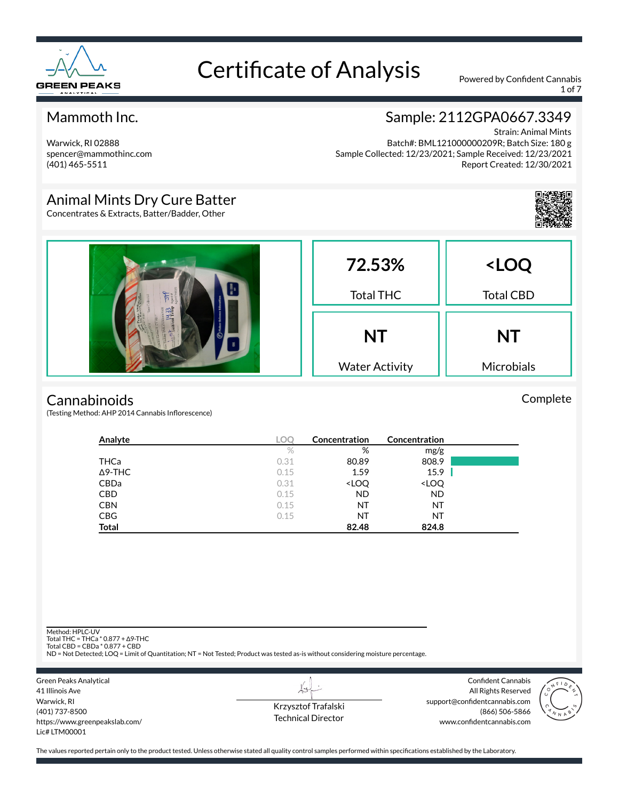

1 of 7

### Mammoth Inc.

Warwick, RI 02888 spencer@mammothinc.com (401) 465-5511

### Sample: 2112GPA0667.3349

Strain: Animal Mints Batch#: BML121000000209R; Batch Size: 180 g Sample Collected: 12/23/2021; Sample Received: 12/23/2021 Report Created: 12/30/2021

### Animal Mints Dry Cure Batter

Concentrates & Extracts, Batter/Badder, Other



#### **Cannabinoids**

(Testing Method: AHP 2014 Cannabis Inflorescence)

| Analyte        | <b>LOC</b> | Concentration                                            | Concentration                |  |
|----------------|------------|----------------------------------------------------------|------------------------------|--|
|                | $\%$       | %                                                        | mg/g                         |  |
| THCa           | 0.31       | 80.89                                                    | 808.9                        |  |
| $\Delta$ 9-THC | 0.15       | 1.59                                                     | 15.9                         |  |
| CBDa           | 0.31       | <loq< td=""><td><loq< td=""><td></td></loq<></td></loq<> | <loq< td=""><td></td></loq<> |  |
| <b>CBD</b>     | 0.15       | <b>ND</b>                                                | <b>ND</b>                    |  |
| <b>CBN</b>     | 0.15       | ΝT                                                       | NT                           |  |
| <b>CBG</b>     | 0.15       | ΝT                                                       | NT                           |  |
| <b>Total</b>   |            | 82.48                                                    | 824.8                        |  |

Method: HPLC-UV

Total THC = THCa \* 0.877 + ∆9-THC Total CBD = CBDa \* 0.877 + CBD

ND = Not Detected; LOQ = Limit of Quantitation; NT = Not Tested; Product was tested as-is without considering moisture percentage.



Krzysztof Trafalski Technical Director

L+

Confident Cannabis All Rights Reserved support@confidentcannabis.com (866) 506-5866 www.confidentcannabis.com



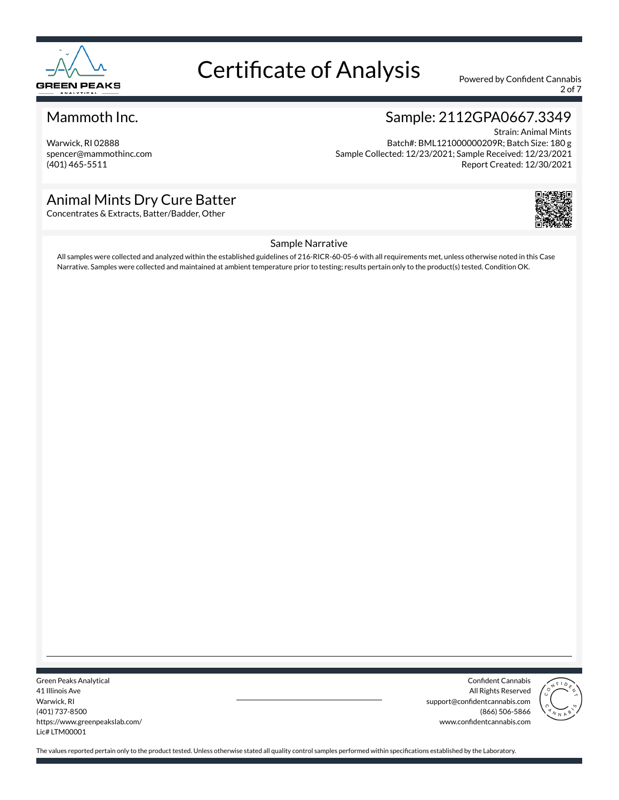

2 of 7

#### Mammoth Inc.

Warwick, RI 02888 spencer@mammothinc.com (401) 465-5511

### Sample: 2112GPA0667.3349

Strain: Animal Mints Batch#: BML121000000209R; Batch Size: 180 g Sample Collected: 12/23/2021; Sample Received: 12/23/2021 Report Created: 12/30/2021

### Animal Mints Dry Cure Batter

Concentrates & Extracts, Batter/Badder, Other



#### Sample Narrative

All samples were collected and analyzed within the established guidelines of 216-RICR-60-05-6 with all requirements met, unless otherwise noted in this Case Narrative. Samples were collected and maintained at ambient temperature prior to testing; results pertain only to the product(s) tested. Condition OK.

Green Peaks Analytical 41 Illinois Ave Warwick, RI (401) 737-8500 https://www.greenpeakslab.com/ Lic# LTM00001

Confident Cannabis All Rights Reserved support@confidentcannabis.com (866) 506-5866 www.confidentcannabis.com

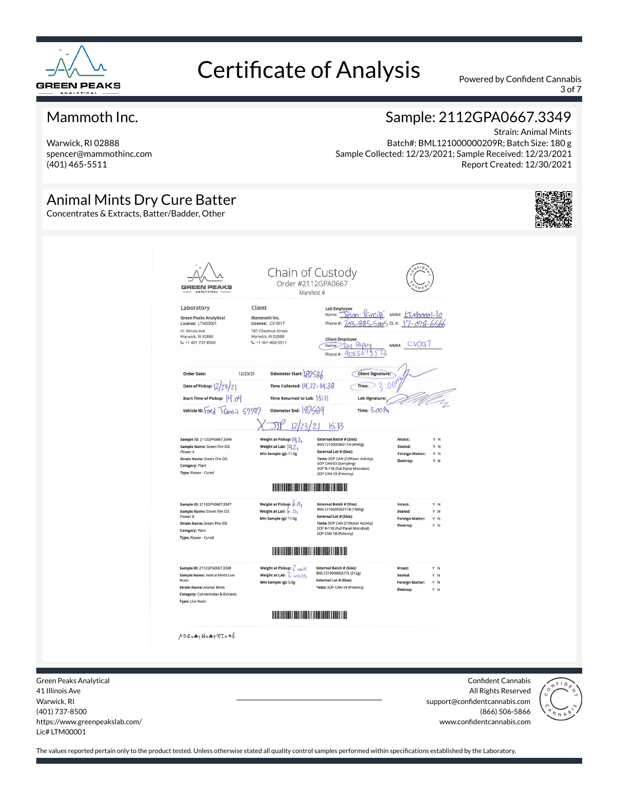

3 of 7

#### Mammoth Inc.

Warwick, RI 02888 spencer@mammothinc.com (401) 465-5511

### Sample: 2112GPA0667.3349

Strain: Animal Mints Batch#: BML121000000209R; Batch Size: 180 g Sample Collected: 12/23/2021; Sample Received: 12/23/2021 Report Created: 12/30/2021

### Animal Mints Dry Cure Batter

Concentrates & Extracts, Batter/Badder, Other





Green Peaks Analytical 41 Illinois Ave Warwick, RI (401) 737-8500 https://www.greenpeakslab.com/ Lic# LTM00001

Confident Cannabis All Rights Reserved support@confidentcannabis.com (866) 506-5866 www.confidentcannabis.com

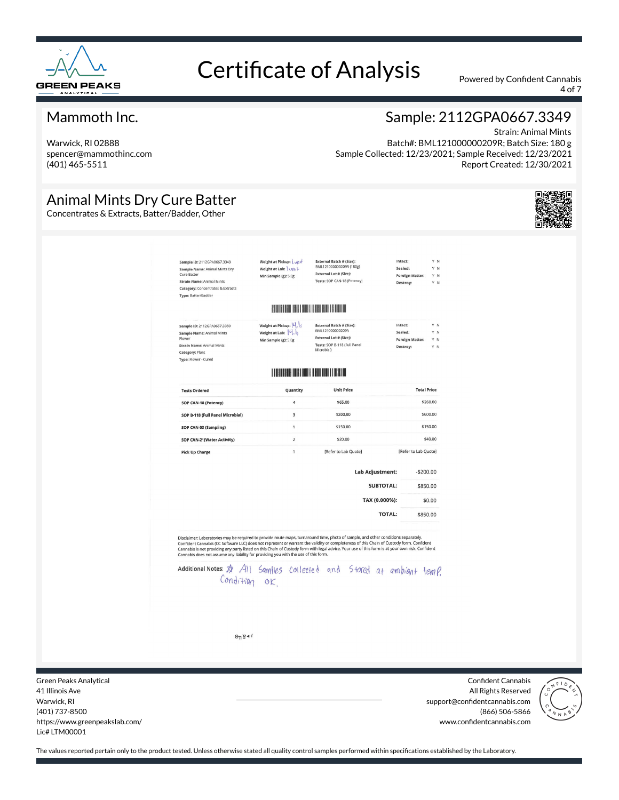

4 of 7

#### Mammoth Inc.

Warwick, RI 02888 spencer@mammothinc.com (401) 465-5511

## Sample: 2112GPA0667.3349

Strain: Animal Mints Batch#: BML121000000209R; Batch Size: 180 g Sample Collected: 12/23/2021; Sample Received: 12/23/2021 Report Created: 12/30/2021

### Animal Mints Dry Cure Batter

Concentrates & Extracts, Batter/Badder, Other



| Sample ID: 2112GPA0667.3349<br>Sample Name: Animal Mints Dry<br>Cure Batter<br><b>Strain Name: Animal Mints</b><br>Category: Concentrates & Extracts<br>Type: Batter/Badder                                                                                                                                                                                                                                                                                                                                                                                                                         | Weight at Pickup: \ \<br>Weight at Lab: Uni+<br>Min Sample (g): 5.0g  | <b>External Batch # (Size):</b><br>BML121000000209R (180g)<br>External Lot # (Size):<br>Tests: SOP CAN-18 (Potency)         | Intact:<br>Sealed:<br>Foreign Matter:<br>Destroy:        | Y N<br>Y N<br>Y N<br>Y N |
|-----------------------------------------------------------------------------------------------------------------------------------------------------------------------------------------------------------------------------------------------------------------------------------------------------------------------------------------------------------------------------------------------------------------------------------------------------------------------------------------------------------------------------------------------------------------------------------------------------|-----------------------------------------------------------------------|-----------------------------------------------------------------------------------------------------------------------------|----------------------------------------------------------|--------------------------|
|                                                                                                                                                                                                                                                                                                                                                                                                                                                                                                                                                                                                     |                                                                       |                                                                                                                             |                                                          |                          |
| Sample ID: 2112GPA0667.3350<br>Sample Name: Animal Mints<br>Flower<br><b>Strain Name: Animal Mints</b><br>Category: Plant<br>Type: Flower - Cured                                                                                                                                                                                                                                                                                                                                                                                                                                                   | Weight at Pickup: 4, 15<br>Weight at Lab: 4.1<br>Min Sample (g): 5.0g | <b>External Batch # (Size):</b><br>BML121000000209A<br>External Lot # (Size):<br>Tests: SOP B-118 (Full Panel<br>Microbial) | Intact:<br>Sealed:<br><b>Foreign Matter:</b><br>Destroy: | Y N<br>Y N<br>Y N<br>Y N |
|                                                                                                                                                                                                                                                                                                                                                                                                                                                                                                                                                                                                     |                                                                       | <b>IN EXECUTIVE AND INTERNATIONAL PROPERTY</b>                                                                              |                                                          |                          |
| <b>Tests Ordered</b>                                                                                                                                                                                                                                                                                                                                                                                                                                                                                                                                                                                | Quantity                                                              | <b>Unit Price</b>                                                                                                           |                                                          | <b>Total Price</b>       |
| SOP CAN-18 (Potency)                                                                                                                                                                                                                                                                                                                                                                                                                                                                                                                                                                                | $\overline{4}$                                                        | \$65.00                                                                                                                     |                                                          | \$260.00                 |
| SOP B-118 (Full Panel Microbial)                                                                                                                                                                                                                                                                                                                                                                                                                                                                                                                                                                    | 3                                                                     | \$200.00                                                                                                                    |                                                          | \$600.00                 |
| SOP CAN-03 (Sampling)                                                                                                                                                                                                                                                                                                                                                                                                                                                                                                                                                                               | $\mathbf{1}$                                                          | \$150.00                                                                                                                    |                                                          | \$150.00                 |
| SOP CAN-21(Water Activity)                                                                                                                                                                                                                                                                                                                                                                                                                                                                                                                                                                          | $\overline{2}$                                                        | \$20.00                                                                                                                     |                                                          | \$40.00                  |
| <b>Pick Up Charge</b>                                                                                                                                                                                                                                                                                                                                                                                                                                                                                                                                                                               | $\mathbf{1}$                                                          | [Refer to Lab Quote]                                                                                                        | [Refer to Lab Quote]                                     |                          |
|                                                                                                                                                                                                                                                                                                                                                                                                                                                                                                                                                                                                     |                                                                       | <b>Lab Adjustment:</b>                                                                                                      |                                                          | $-$200.00$               |
|                                                                                                                                                                                                                                                                                                                                                                                                                                                                                                                                                                                                     |                                                                       |                                                                                                                             | <b>SUBTOTAL:</b>                                         | \$850.00                 |
|                                                                                                                                                                                                                                                                                                                                                                                                                                                                                                                                                                                                     |                                                                       |                                                                                                                             | TAX (0.000%):                                            | \$0.00                   |
|                                                                                                                                                                                                                                                                                                                                                                                                                                                                                                                                                                                                     |                                                                       |                                                                                                                             | <b>TOTAL:</b>                                            | \$850.00                 |
| Disclaimer: Laboratories may be required to provide route maps, turnaround time, photo of sample, and other conditions separately.<br>Confident Cannabis (CC Software LLC) does not represent or warrant the validity or completeness of this Chain of Custody form. Confident<br>Cannabis is not providing any party listed on this Chain of Custody form with legal advice. Your use of this form is at your own risk. Confident<br>Cannabis does not assume any liability for providing you with the use of this form.<br>additional Notes: \$ All Samples collected and Stared at ambight temp. |                                                                       |                                                                                                                             |                                                          |                          |
| $\Theta$ <sub>n</sub> g + $\theta$                                                                                                                                                                                                                                                                                                                                                                                                                                                                                                                                                                  |                                                                       |                                                                                                                             |                                                          |                          |

Green Peaks Analytical 41 Illinois Ave Warwick, RI (401) 737-8500 https://www.greenpeakslab.com/ Lic# LTM00001

Confident Cannabis All Rights Reserved support@confidentcannabis.com (866) 506-5866 www.confidentcannabis.com

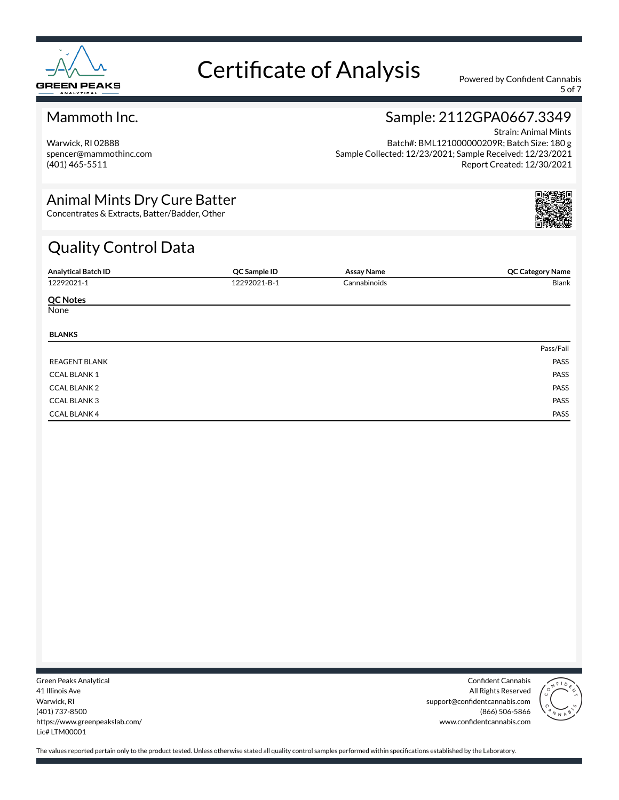

5 of 7

### Mammoth Inc.

Warwick, RI 02888 spencer@mammothinc.com (401) 465-5511

### Sample: 2112GPA0667.3349

Strain: Animal Mints Batch#: BML121000000209R; Batch Size: 180 g Sample Collected: 12/23/2021; Sample Received: 12/23/2021 Report Created: 12/30/2021

### Animal Mints Dry Cure Batter

Concentrates & Extracts, Batter/Badder, Other

## Quality Control Data

| <b>Analytical Batch ID</b> | QC Sample ID | <b>Assay Name</b> | <b>QC Category Name</b> |
|----------------------------|--------------|-------------------|-------------------------|
| 12292021-1                 | 12292021-B-1 | Cannabinoids      | Blank                   |
| <b>QC Notes</b>            |              |                   |                         |
| None                       |              |                   |                         |
| <b>BLANKS</b>              |              |                   |                         |
|                            |              |                   | Pass/Fail               |
| <b>REAGENT BLANK</b>       |              |                   | PASS                    |
| <b>CCAL BLANK1</b>         |              |                   | PASS                    |
| <b>CCAL BLANK 2</b>        |              |                   | PASS                    |
| <b>CCAL BLANK 3</b>        |              |                   | PASS                    |
| <b>CCAL BLANK 4</b>        |              |                   | PASS                    |

Green Peaks Analytical 41 Illinois Ave Warwick, RI (401) 737-8500 https://www.greenpeakslab.com/ Lic# LTM00001

Confident Cannabis All Rights Reserved support@confidentcannabis.com (866) 506-5866 www.confidentcannabis.com

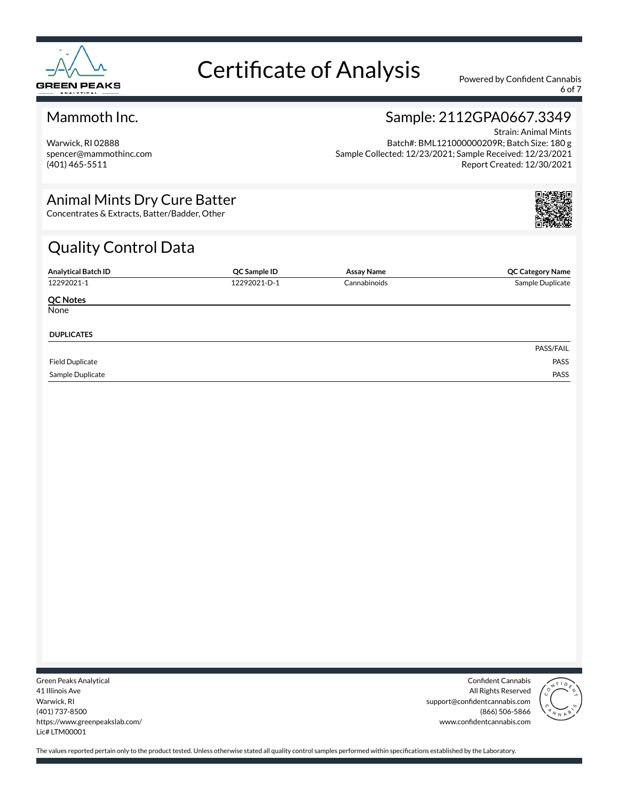

6 of 7

### Mammoth Inc.

Warwick, RI 02888 spencer@mammothinc.com (401) 465-5511

### Sample: 2112GPA0667.3349

Strain: Animal Mints Batch#: BML121000000209R; Batch Size: 180 g Sample Collected: 12/23/2021; Sample Received: 12/23/2021 Report Created: 12/30/2021

### Animal Mints Dry Cure Batter

Concentrates & Extracts, Batter/Badder, Other

## Quality Control Data

| <b>Analytical Batch ID</b> | QC Sample ID | Assay Name   | <b>QC Category Name</b> |
|----------------------------|--------------|--------------|-------------------------|
| 12292021-1                 | 12292021-D-1 | Cannabinoids | Sample Duplicate        |
| <b>QC Notes</b>            |              |              |                         |
| None                       |              |              |                         |
| <b>DUPLICATES</b>          |              |              |                         |
|                            |              |              | PASS/FAIL               |
| <b>Field Duplicate</b>     |              |              | PASS                    |
| Sample Duplicate           |              |              | PASS                    |

Green Peaks Analytical 41 Illinois Ave Warwick, RI (401) 737-8500 https://www.greenpeakslab.com/ Lic# LTM00001

Confident Cannabis All Rights Reserved support@confidentcannabis.com (866) 506-5866 www.confidentcannabis.com